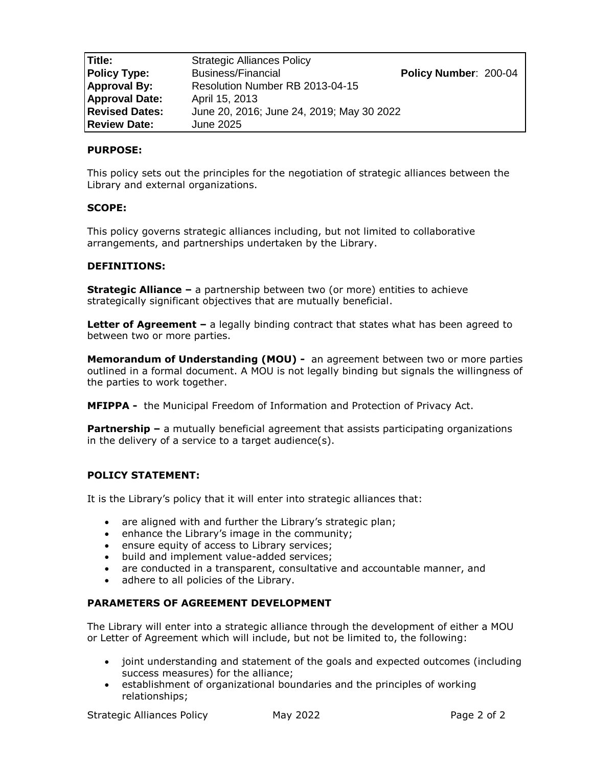| Title:                | <b>Strategic Alliances Policy</b>         |                       |
|-----------------------|-------------------------------------------|-----------------------|
| <b>Policy Type:</b>   | <b>Business/Financial</b>                 | Policy Number: 200-04 |
| <b>Approval By:</b>   | Resolution Number RB 2013-04-15           |                       |
| <b>Approval Date:</b> | April 15, 2013                            |                       |
| <b>Revised Dates:</b> | June 20, 2016; June 24, 2019; May 30 2022 |                       |
| <b>Review Date:</b>   | June 2025                                 |                       |

# **PURPOSE:**

This policy sets out the principles for the negotiation of strategic alliances between the Library and external organizations.

## **SCOPE:**

This policy governs strategic alliances including, but not limited to collaborative arrangements, and partnerships undertaken by the Library.

## **DEFINITIONS:**

**Strategic Alliance –** a partnership between two (or more) entities to achieve strategically significant objectives that are mutually beneficial.

**Letter of Agreement –** a legally binding contract that states what has been agreed to between two or more parties.

**Memorandum of Understanding (MOU) -** an agreement between two or more parties outlined in a formal document. A MOU is not legally binding but signals the willingness of the parties to work together.

**MFIPPA -** the Municipal Freedom of Information and Protection of Privacy Act.

**Partnership –** a mutually beneficial agreement that assists participating organizations in the delivery of a service to a target audience(s).

## **POLICY STATEMENT:**

It is the Library's policy that it will enter into strategic alliances that:

- are aligned with and further the Library's strategic plan;
- enhance the Library's image in the community;
- ensure equity of access to Library services;
- build and implement value-added services;
- are conducted in a transparent, consultative and accountable manner, and
- adhere to all policies of the Library.

## **PARAMETERS OF AGREEMENT DEVELOPMENT**

The Library will enter into a strategic alliance through the development of either a MOU or Letter of Agreement which will include, but not be limited to, the following:

- joint understanding and statement of the goals and expected outcomes (including success measures) for the alliance;
- establishment of organizational boundaries and the principles of working relationships;